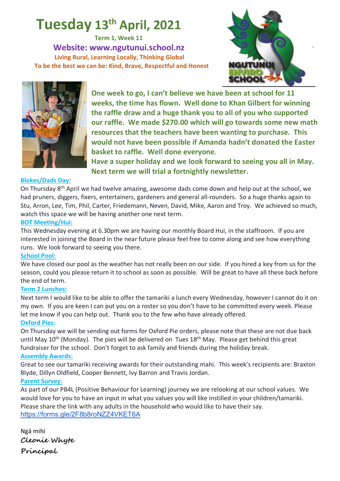# **Tuesday 13th April, 2021**

**Term 1, Week 11 Website: www.ngutunui.school.nz Living Rural, Learning Locally, Thinking Global To be the best we can be: Kind, Brave, Respectful and Honest**





**One week to go, I can't believe we have been at school for 11 weeks, the time has flown. Well done to Khan Gilbert for winning the raffle draw and a huge thank you to all of you who supported our raffle. We made \$270.00 which will go towards some new math resources that the teachers have been wanting to purchase. This would not have been possible if Amanda hadn't donated the Easter basket to raffle. Well done everyone.** 

**Have a super holiday and we look forward to seeing you all in May. Next term we will trial a fortnightly newsletter.** 

#### **Blokes/Dads Day:**

On Thursday 8th April we had twelve amazing, awesome dads come down and help out at the school, we had pruners, diggers, fixers, entertainers, gardeners and general all-rounders. So a huge thanks again to Stu, Arron, Lee, Tim, Phil, Carter, Friedemann, Neven, David, Mike, Aaron and Troy. We achieved so much, watch this space we will be having another one next term.

#### **BOT Meeting/Hui:**

This Wednesday evening at 6.30pm we are having our monthly Board Hui, in the staffroom. If you are interested in joining the Board in the near future please feel free to come along and see how everything runs. We look forward to seeing you there.

### **School Pool:**

We have closed our pool as the weather has not really been on our side. If you hired a key from us for the season, could you please return it to school as soon as possible. Will be great to have all these back before the end of term.

#### **Term 2 Lunches:**

Next term I would like to be able to offer the tamariki a lunch every Wednesday, however I cannot do it on my own. If you are keen I can put you on a roster so you don't have to be committed every week. Please let me know if you can help out. Thank you to the few who have already offered.

#### **Oxford Pies:**

On Thursday we will be sending out forms for Oxford Pie orders, please note that these are not due back until May 10<sup>th</sup> (Monday). The pies will be delivered on Tues 18<sup>th</sup> May. Please get behind this great fundraiser for the school. Don't forget to ask family and friends during the holiday break.

#### **Assembly Awards:**

Great to see our tamariki receiving awards for their outstanding mahi. This week's recipients are: Braxton Blyde, Dillyn Oldfield, Cooper Bennett, Ivy Barron and Travis Jordan.

#### **Parent Survey:**

As part of our PB4L (Positive Behaviour for Learning) journey we are relooking at our school values. We would love for you to have an input in what you values you will like instilled in your children/tamariki. Please share the link with any adults in the household who would like to have their say. https://forms.gle/2F8b8roNZZ4VKET6A

Ngā mihi **Cleonie Whyte Principal**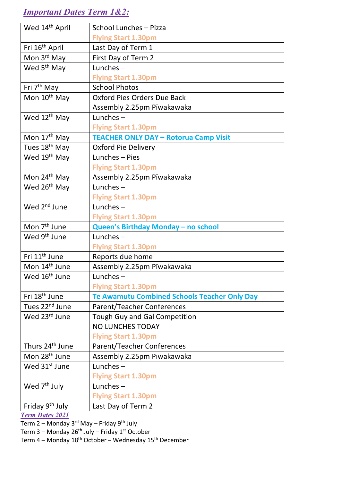## *Important Dates Term 1&2:*

| Wed 14 <sup>th</sup> April  | School Lunches - Pizza                              |
|-----------------------------|-----------------------------------------------------|
|                             | <b>Flying Start 1.30pm</b>                          |
| Fri 16 <sup>th</sup> April  | Last Day of Term 1                                  |
| Mon 3 <sup>rd</sup> May     | First Day of Term 2                                 |
| Wed 5 <sup>th</sup> May     | Lunches $-$                                         |
|                             | <b>Flying Start 1.30pm</b>                          |
| Fri 7 <sup>th</sup> May     | <b>School Photos</b>                                |
| Mon 10 <sup>th</sup> May    | Oxford Pies Orders Due Back                         |
|                             | Assembly 2.25pm Pīwakawaka                          |
| Wed 12 <sup>th</sup> May    | Lunches $-$                                         |
|                             | <b>Flying Start 1.30pm</b>                          |
| Mon 17 <sup>th</sup> May    | <b>TEACHER ONLY DAY - Rotorua Camp Visit</b>        |
| Tues 18 <sup>th</sup> May   | <b>Oxford Pie Delivery</b>                          |
| Wed 19 <sup>th</sup> May    | Lunches - Pies                                      |
|                             | <b>Flying Start 1.30pm</b>                          |
| Mon 24 <sup>th</sup> May    | Assembly 2.25pm Pīwakawaka                          |
| Wed 26 <sup>th</sup> May    | Lunches $-$                                         |
|                             | <b>Flying Start 1.30pm</b>                          |
| Wed 2 <sup>nd</sup> June    | Lunches $-$                                         |
|                             | <b>Flying Start 1.30pm</b>                          |
| Mon 7 <sup>th</sup> June    | Queen's Birthday Monday - no school                 |
| Wed 9 <sup>th</sup> June    | Lunches $-$                                         |
|                             | <b>Flying Start 1.30pm</b>                          |
| Fri 11 <sup>th</sup> June   | Reports due home                                    |
| Mon 14 <sup>th</sup> June   | Assembly 2.25pm Pīwakawaka                          |
| Wed 16 <sup>th</sup> June   | Lunches-                                            |
|                             | <b>Flying Start 1.30pm</b>                          |
| Fri 18 <sup>th</sup> June   | <b>Te Awamutu Combined Schools Teacher Only Day</b> |
| Tues 22 <sup>nd</sup> June  | <b>Parent/Teacher Conferences</b>                   |
| Wed 23rd June               | <b>Tough Guy and Gal Competition</b>                |
|                             | <b>NO LUNCHES TODAY</b>                             |
|                             | <b>Flying Start 1.30pm</b>                          |
| Thurs 24 <sup>th</sup> June | <b>Parent/Teacher Conferences</b>                   |
| Mon 28 <sup>th</sup> June   | Assembly 2.25pm Pīwakawaka                          |
| Wed 31 <sup>st</sup> June   | Lunches $-$                                         |
|                             | <b>Flying Start 1.30pm</b>                          |
| Wed 7 <sup>th</sup> July    | Lunches $-$                                         |
|                             | <b>Flying Start 1.30pm</b>                          |
| Friday 9 <sup>th</sup> July | Last Day of Term 2                                  |

*Term Dates 2021*

Term 2 – Monday 3<sup>rd</sup> May – Friday 9<sup>th</sup> July

Term 3 – Monday 26<sup>th</sup> July – Friday 1<sup>st</sup> October

Term 4 – Monday 18<sup>th</sup> October – Wednesday 15<sup>th</sup> December